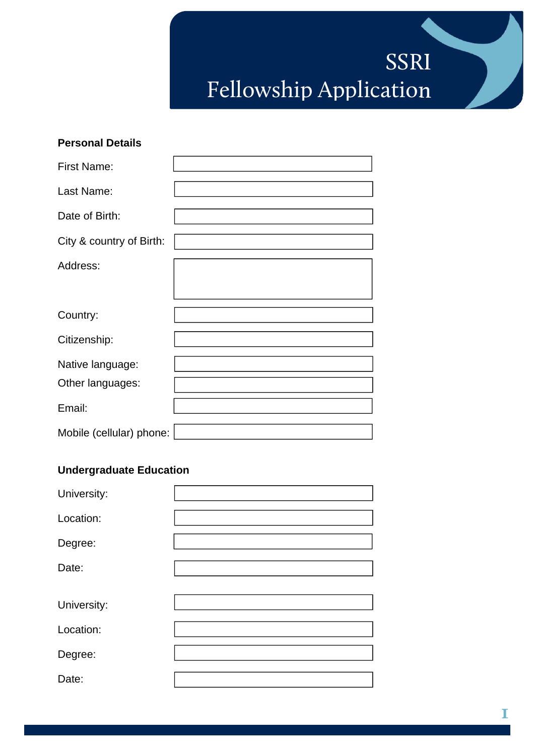# SSRI Fellowship Application

| <b>Personal Details</b>              |  |
|--------------------------------------|--|
| <b>First Name:</b>                   |  |
| Last Name:                           |  |
| Date of Birth:                       |  |
| City & country of Birth:             |  |
| Address:                             |  |
| Country:                             |  |
| Citizenship:                         |  |
| Native language:<br>Other languages: |  |
| Email:                               |  |
| Mobile (cellular) phone:             |  |

# **Undergraduate Education**

| University: |  |
|-------------|--|
| Location:   |  |
| Degree:     |  |
| Date:       |  |
| University: |  |
| Location:   |  |
| Degree:     |  |
| Date:       |  |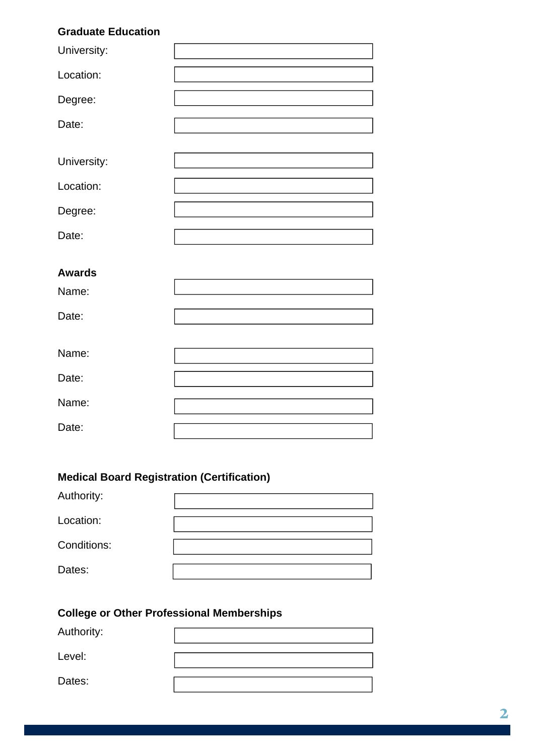## **Graduate Education**

| University:   |  |
|---------------|--|
|               |  |
| Location:     |  |
|               |  |
| Degree:       |  |
|               |  |
| Date:         |  |
|               |  |
|               |  |
| University:   |  |
|               |  |
| Location:     |  |
|               |  |
| Degree:       |  |
|               |  |
| Date:         |  |
|               |  |
|               |  |
|               |  |
| <b>Awards</b> |  |
|               |  |
| Name:         |  |
|               |  |
| Date:         |  |
|               |  |
|               |  |
|               |  |
| Name:         |  |
|               |  |
| Date:         |  |
|               |  |
| Name:         |  |
|               |  |
| Date:         |  |
|               |  |

# **Medical Board Registration (Certification)**

| Authority:  |  |
|-------------|--|
| Location:   |  |
| Conditions: |  |
| Dates:      |  |

## **College or Other Professional Memberships**

| Authority: |  |
|------------|--|
| Level:     |  |
| Dates:     |  |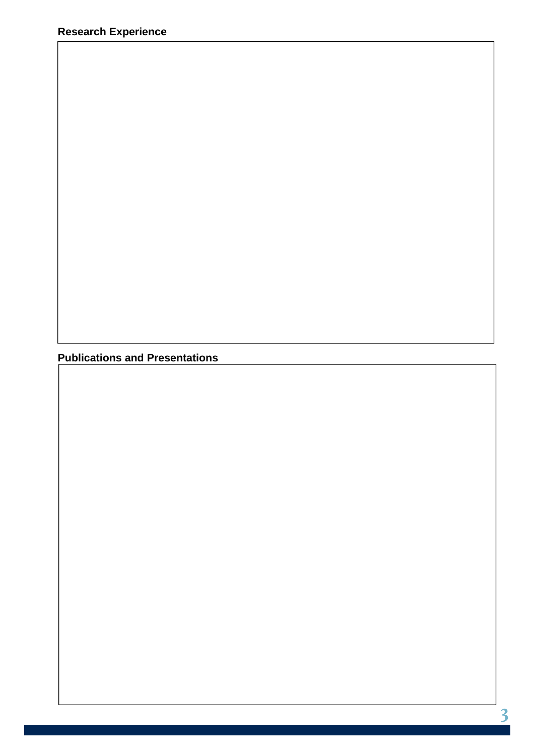**Publications and Presentations**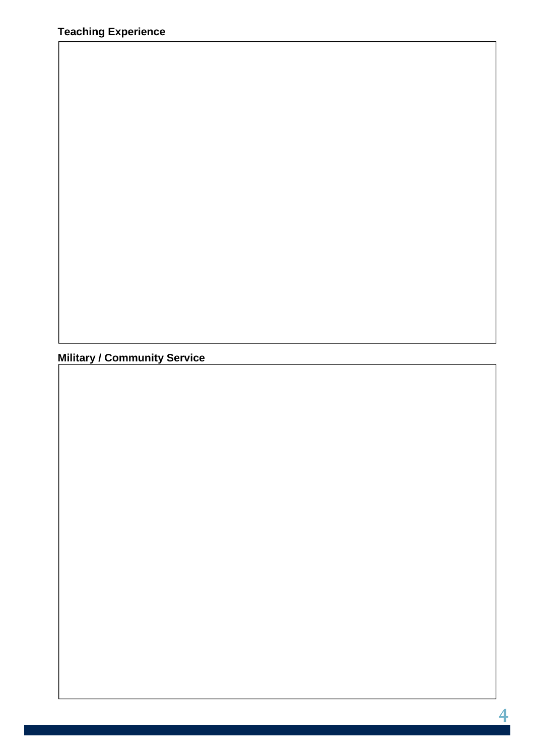**Military / Community Service**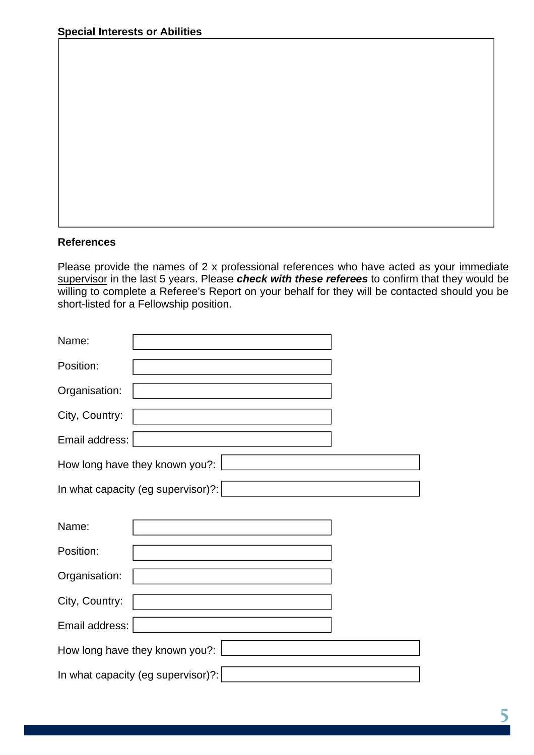#### **References**

Please provide the names of 2 x professional references who have acted as your immediate supervisor in the last 5 years. Please *check with these referees* to confirm that they would be willing to complete a Referee's Report on your behalf for they will be contacted should you be short-listed for a Fellowship position.

| Name:          |                                    |
|----------------|------------------------------------|
| Position:      |                                    |
| Organisation:  |                                    |
| City, Country: |                                    |
| Email address: |                                    |
|                | How long have they known you?:     |
|                | In what capacity (eg supervisor)?: |
|                |                                    |
| Name:          |                                    |
|                |                                    |
| Position:      |                                    |
| Organisation:  |                                    |
| City, Country: |                                    |
| Email address: |                                    |
|                | How long have they known you?:     |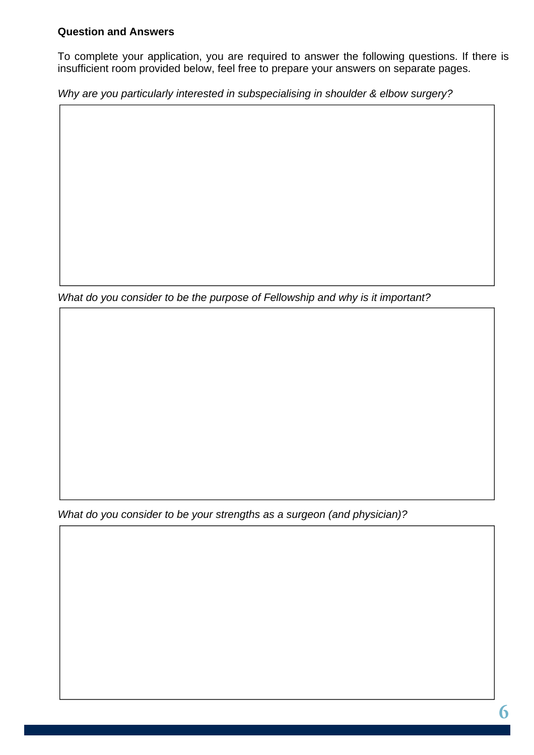### **Question and Answers**

To complete your application, you are required to answer the following questions. If there is insufficient room provided below, feel free to prepare your answers on separate pages.

*Why are you particularly interested in subspecialising in shoulder & elbow surgery?* 

*What do you consider to be the purpose of Fellowship and why is it important?* 

*What do you consider to be your strengths as a surgeon (and physician)?*